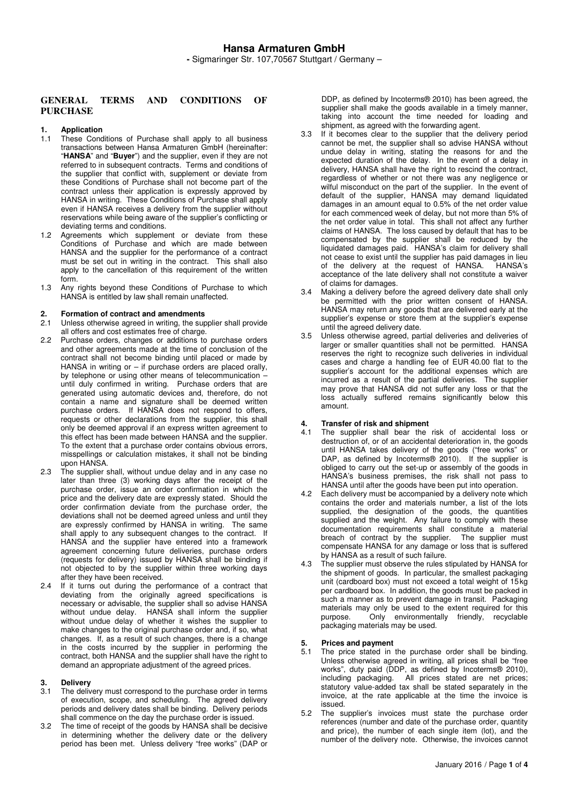## **GENERAL TERMS AND CONDITIONS OF PURCHASE**

### **1. Application**

- 1.1 These Conditions of Purchase shall apply to all business transactions between Hansa Armaturen GmbH (hereinafter: "**HANSA**" and "**Buyer**") and the supplier, even if they are not referred to in subsequent contracts. Terms and conditions of the supplier that conflict with, supplement or deviate from these Conditions of Purchase shall not become part of the contract unless their application is expressly approved by HANSA in writing. These Conditions of Purchase shall apply even if HANSA receives a delivery from the supplier without reservations while being aware of the supplier's conflicting or deviating terms and conditions.
- 1.2 Agreements which supplement or deviate from these Conditions of Purchase and which are made between HANSA and the supplier for the performance of a contract must be set out in writing in the contract. This shall also apply to the cancellation of this requirement of the written form.
- 1.3 Any rights beyond these Conditions of Purchase to which HANSA is entitled by law shall remain unaffected.

## **2. Formation of contract and amendments**

- Unless otherwise agreed in writing, the supplier shall provide all offers and cost estimates free of charge.
- 2.2 Purchase orders, changes or additions to purchase orders and other agreements made at the time of conclusion of the contract shall not become binding until placed or made by HANSA in writing or  $-$  if purchase orders are placed orally, by telephone or using other means of telecommunication – until duly confirmed in writing. Purchase orders that are generated using automatic devices and, therefore, do not contain a name and signature shall be deemed written purchase orders. If HANSA does not respond to offers, requests or other declarations from the supplier, this shall only be deemed approval if an express written agreement to this effect has been made between HANSA and the supplier. To the extent that a purchase order contains obvious errors, misspellings or calculation mistakes, it shall not be binding upon HANSA.
- 2.3 The supplier shall, without undue delay and in any case no later than three (3) working days after the receipt of the purchase order, issue an order confirmation in which the price and the delivery date are expressly stated. Should the order confirmation deviate from the purchase order, the deviations shall not be deemed agreed unless and until they are expressly confirmed by HANSA in writing. The same shall apply to any subsequent changes to the contract. If HANSA and the supplier have entered into a framework agreement concerning future deliveries, purchase orders (requests for delivery) issued by HANSA shall be binding if not objected to by the supplier within three working days after they have been received.
- 2.4 If it turns out during the performance of a contract that deviating from the originally agreed specifications is necessary or advisable, the supplier shall so advise HANSA without undue delay. HANSA shall inform the supplier without undue delay of whether it wishes the supplier to make changes to the original purchase order and, if so, what changes. If, as a result of such changes, there is a change in the costs incurred by the supplier in performing the contract, both HANSA and the supplier shall have the right to demand an appropriate adjustment of the agreed prices.

### **3. Delivery**

- 3.1 The delivery must correspond to the purchase order in terms of execution, scope, and scheduling. The agreed delivery periods and delivery dates shall be binding. Delivery periods shall commence on the day the purchase order is issued.
- 3.2 The time of receipt of the goods by HANSA shall be decisive in determining whether the delivery date or the delivery period has been met. Unless delivery "free works" (DAP or

DDP, as defined by Incoterms® 2010) has been agreed, the supplier shall make the goods available in a timely manner, taking into account the time needed for loading and shipment, as agreed with the forwarding agent.

- 3.3 If it becomes clear to the supplier that the delivery period cannot be met, the supplier shall so advise HANSA without undue delay in writing, stating the reasons for and the expected duration of the delay. In the event of a delay in delivery, HANSA shall have the right to rescind the contract, regardless of whether or not there was any negligence or wilful misconduct on the part of the supplier. In the event of default of the supplier, HANSA may demand liquidated damages in an amount equal to 0.5% of the net order value for each commenced week of delay, but not more than 5% of the net order value in total. This shall not affect any further claims of HANSA. The loss caused by default that has to be compensated by the supplier shall be reduced by the liquidated damages paid. HANSA's claim for delivery shall not cease to exist until the supplier has paid damages in lieu of the delivery at the request of HANSA. HANSA's acceptance of the late delivery shall not constitute a waiver of claims for damages.
- 3.4 Making a delivery before the agreed delivery date shall only be permitted with the prior written consent of HANSA. HANSA may return any goods that are delivered early at the supplier's expense or store them at the supplier's expense until the agreed delivery date.
- 3.5 Unless otherwise agreed, partial deliveries and deliveries of larger or smaller quantities shall not be permitted. HANSA reserves the right to recognize such deliveries in individual cases and charge a handling fee of EUR 40.00 flat to the supplier's account for the additional expenses which are incurred as a result of the partial deliveries. The supplier may prove that HANSA did not suffer any loss or that the loss actually suffered remains significantly below this amount.

# **4. Transfer of risk and shipment**

- The supplier shall bear the risk of accidental loss or destruction of, or of an accidental deterioration in, the goods until HANSA takes delivery of the goods ("free works" or DAP, as defined by Incoterms® 2010). If the supplier is obliged to carry out the set-up or assembly of the goods in HANSA's business premises, the risk shall not pass to HANSA until after the goods have been put into operation.
- 4.2 Each delivery must be accompanied by a delivery note which contains the order and materials number, a list of the lots supplied, the designation of the goods, the quantities supplied and the weight. Any failure to comply with these documentation requirements shall constitute a material breach of contract by the supplier. The supplier must compensate HANSA for any damage or loss that is suffered by HANSA as a result of such failure.
- 4.3 The supplier must observe the rules stipulated by HANSA for the shipment of goods. In particular, the smallest packaging unit (cardboard box) must not exceed a total weight of 15kg per cardboard box. In addition, the goods must be packed in such a manner as to prevent damage in transit. Packaging materials may only be used to the extent required for this purpose. Only environmentally friendly, recyclable packaging materials may be used.

## **5. Prices and payment**

- 5.1 The price stated in the purchase order shall be binding. Unless otherwise agreed in writing, all prices shall be "free works", duty paid (DDP, as defined by Incoterms® 2010), including packaging. All prices stated are net prices; statutory value-added tax shall be stated separately in the invoice, at the rate applicable at the time the invoice is issued.
- 5.2 The supplier's invoices must state the purchase order references (number and date of the purchase order, quantity and price), the number of each single item (lot), and the number of the delivery note. Otherwise, the invoices cannot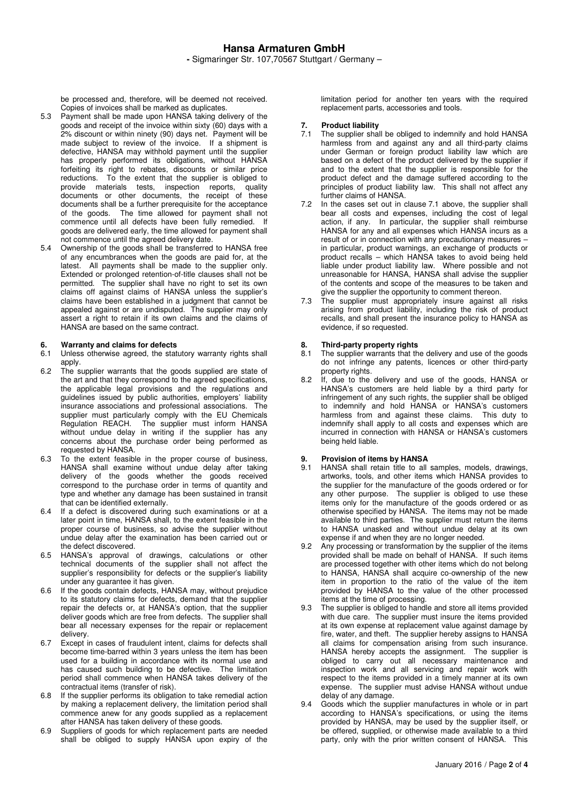be processed and, therefore, will be deemed not received. Copies of invoices shall be marked as duplicates.

- 5.3 Payment shall be made upon HANSA taking delivery of the goods and receipt of the invoice within sixty (60) days with a 2% discount or within ninety (90) days net. Payment will be made subject to review of the invoice. If a shipment is defective, HANSA may withhold payment until the supplier has properly performed its obligations, without HANSA forfeiting its right to rebates, discounts or similar price reductions. To the extent that the supplier is obliged to provide materials tests, inspection reports, quality documents or other documents, the receipt of these documents shall be a further prerequisite for the acceptance of the goods. The time allowed for payment shall not commence until all defects have been fully remedied. If goods are delivered early, the time allowed for payment shall not commence until the agreed delivery date.
- 5.4 Ownership of the goods shall be transferred to HANSA free of any encumbrances when the goods are paid for, at the latest. All payments shall be made to the supplier only. Extended or prolonged retention-of-title clauses shall not be permitted. The supplier shall have no right to set its own claims off against claims of HANSA unless the supplier's claims have been established in a judgment that cannot be appealed against or are undisputed. The supplier may only assert a right to retain if its own claims and the claims of HANSA are based on the same contract.

## **6.** Warranty and claims for defects 6.1 Unless otherwise agreed, the stat

- Unless otherwise agreed, the statutory warranty rights shall apply.
- 6.2 The supplier warrants that the goods supplied are state of the art and that they correspond to the agreed specifications, the applicable legal provisions and the regulations and guidelines issued by public authorities, employers' liability insurance associations and professional associations. The supplier must particularly comply with the EU Chemicals Regulation REACH. The supplier must inform HANSA without undue delay in writing if the supplier has any concerns about the purchase order being performed as requested by HANSA.
- 6.3 To the extent feasible in the proper course of business, HANSA shall examine without undue delay after taking delivery of the goods whether the goods received correspond to the purchase order in terms of quantity and type and whether any damage has been sustained in transit that can be identified externally.
- If a defect is discovered during such examinations or at a later point in time, HANSA shall, to the extent feasible in the proper course of business, so advise the supplier without undue delay after the examination has been carried out or the defect discovered.
- 6.5 HANSA's approval of drawings, calculations or other technical documents of the supplier shall not affect the supplier's responsibility for defects or the supplier's liability under any guarantee it has given.
- 6.6 If the goods contain defects, HANSA may, without prejudice to its statutory claims for defects, demand that the supplier repair the defects or, at HANSA's option, that the supplier deliver goods which are free from defects. The supplier shall bear all necessary expenses for the repair or replacement delivery.
- 6.7 Except in cases of fraudulent intent, claims for defects shall become time-barred within 3 years unless the item has been used for a building in accordance with its normal use and has caused such building to be defective. The limitation period shall commence when HANSA takes delivery of the contractual items (transfer of risk).
- 6.8 If the supplier performs its obligation to take remedial action by making a replacement delivery, the limitation period shall commence anew for any goods supplied as a replacement after HANSA has taken delivery of these goods.
- 6.9 Suppliers of goods for which replacement parts are needed shall be obliged to supply HANSA upon expiry of the

limitation period for another ten years with the required replacement parts, accessories and tools.

# **7.** Product liability<br>7.1 The supplier shall

- The supplier shall be obliged to indemnify and hold HANSA harmless from and against any and all third-party claims under German or foreign product liability law which are based on a defect of the product delivered by the supplier if and to the extent that the supplier is responsible for the product defect and the damage suffered according to the principles of product liability law. This shall not affect any further claims of HANSA.
- 7.2 In the cases set out in clause 7.1 above, the supplier shall bear all costs and expenses, including the cost of legal action, if any. In particular, the supplier shall reimburse HANSA for any and all expenses which HANSA incurs as a result of or in connection with any precautionary measures – in particular, product warnings, an exchange of products or product recalls – which HANSA takes to avoid being held liable under product liability law. Where possible and not unreasonable for HANSA, HANSA shall advise the supplier of the contents and scope of the measures to be taken and give the supplier the opportunity to comment thereon.
- 7.3 The supplier must appropriately insure against all risks arising from product liability, including the risk of product recalls, and shall present the insurance policy to HANSA as evidence, if so requested.

## **8.** Third-party property rights 8.1 The supplier warrants that the

- The supplier warrants that the delivery and use of the goods do not infringe any patents, licences or other third-party property rights.
- 8.2 If, due to the delivery and use of the goods, HANSA or HANSA's customers are held liable by a third party for infringement of any such rights, the supplier shall be obliged to indemnify and hold HANSA or HANSA's customers harmless from and against these claims. This duty to indemnify shall apply to all costs and expenses which are incurred in connection with HANSA or HANSA's customers being held liable.

### **9. Provision of items by HANSA**

- 9.1 HANSA shall retain title to all samples, models, drawings, artworks, tools, and other items which HANSA provides to the supplier for the manufacture of the goods ordered or for any other purpose. The supplier is obliged to use these items only for the manufacture of the goods ordered or as otherwise specified by HANSA. The items may not be made available to third parties. The supplier must return the items to HANSA unasked and without undue delay at its own expense if and when they are no longer needed.
- 9.2 Any processing or transformation by the supplier of the items provided shall be made on behalf of HANSA. If such items are processed together with other items which do not belong to HANSA, HANSA shall acquire co-ownership of the new item in proportion to the ratio of the value of the item provided by HANSA to the value of the other processed items at the time of processing.
- 9.3 The supplier is obliged to handle and store all items provided with due care. The supplier must insure the items provided at its own expense at replacement value against damage by fire, water, and theft. The supplier hereby assigns to HANSA all claims for compensation arising from such insurance. HANSA hereby accepts the assignment. The supplier is obliged to carry out all necessary maintenance and inspection work and all servicing and repair work with respect to the items provided in a timely manner at its own expense. The supplier must advise HANSA without undue delay of any damage.
- 9.4 Goods which the supplier manufactures in whole or in part according to HANSA's specifications, or using the items provided by HANSA, may be used by the supplier itself, or be offered, supplied, or otherwise made available to a third party, only with the prior written consent of HANSA. This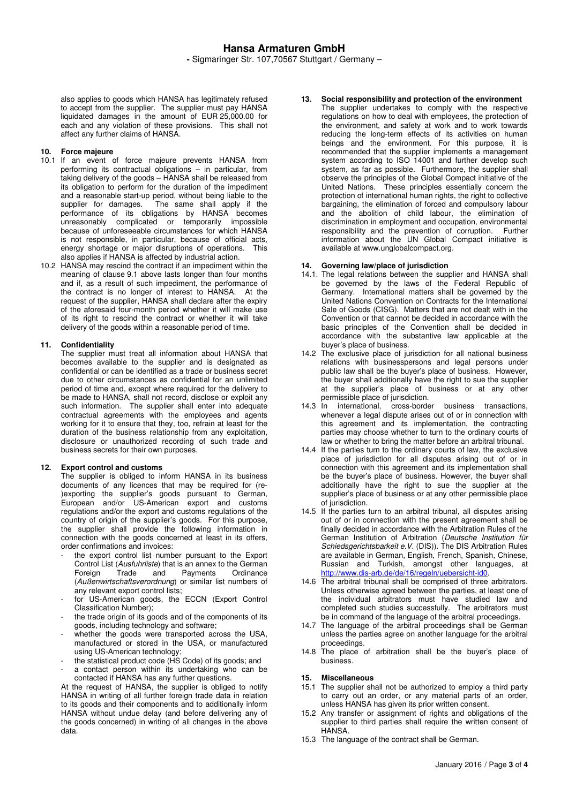also applies to goods which HANSA has legitimately refused to accept from the supplier. The supplier must pay HANSA liquidated damages in the amount of EUR 25,000.00 for each and any violation of these provisions. This shall not affect any further claims of HANSA.

### **10. Force majeure**

- 10.1 If an event of force majeure prevents HANSA from performing its contractual obligations – in particular, from taking delivery of the goods – HANSA shall be released from its obligation to perform for the duration of the impediment and a reasonable start-up period, without being liable to the supplier for damages. The same shall apply if the performance of its obligations by HANSA becomes unreasonably complicated or temporarily impossible because of unforeseeable circumstances for which HANSA is not responsible, in particular, because of official acts, energy shortage or major disruptions of operations. This also applies if HANSA is affected by industrial action.
- 10.2 HANSA may rescind the contract if an impediment within the meaning of clause 9.1 above lasts longer than four months and if, as a result of such impediment, the performance of the contract is no longer of interest to HANSA. At the request of the supplier, HANSA shall declare after the expiry of the aforesaid four-month period whether it will make use of its right to rescind the contract or whether it will take delivery of the goods within a reasonable period of time.

### **11. Confidentiality**

The supplier must treat all information about HANSA that becomes available to the supplier and is designated as confidential or can be identified as a trade or business secret due to other circumstances as confidential for an unlimited period of time and, except where required for the delivery to be made to HANSA, shall not record, disclose or exploit any such information. The supplier shall enter into adequate contractual agreements with the employees and agents working for it to ensure that they, too, refrain at least for the duration of the business relationship from any exploitation, disclosure or unauthorized recording of such trade and business secrets for their own purposes.

#### **12. Export control and customs**

The supplier is obliged to inform HANSA in its business documents of any licences that may be required for (re- )exporting the supplier's goods pursuant to German, European and/or US-American export and customs regulations and/or the export and customs regulations of the country of origin of the supplier's goods. For this purpose, the supplier shall provide the following information in connection with the goods concerned at least in its offers, order confirmations and invoices:

- the export control list number pursuant to the Export Control List (Ausfuhrliste) that is an annex to the German<br>Foreign Trade and Payments Ordinance **Payments** (Außenwirtschaftsverordnung) or similar list numbers of any relevant export control lists;
- for US-American goods, the ECCN (Export Control Classification Number);
- the trade origin of its goods and of the components of its goods, including technology and software;
- whether the goods were transported across the USA, manufactured or stored in the USA, or manufactured using US-American technology;
- the statistical product code (HS Code) of its goods; and
- a contact person within its undertaking who can be contacted if HANSA has any further questions.

At the request of HANSA, the supplier is obliged to notify HANSA in writing of all further foreign trade data in relation to its goods and their components and to additionally inform HANSA without undue delay (and before delivering any of the goods concerned) in writing of all changes in the above data.

### **13. Social responsibility and protection of the environment**

The supplier undertakes to comply with the respective regulations on how to deal with employees, the protection of the environment, and safety at work and to work towards reducing the long-term effects of its activities on human beings and the environment. For this purpose, it is recommended that the supplier implements a management system according to ISO 14001 and further develop such system, as far as possible. Furthermore, the supplier shall observe the principles of the Global Compact initiative of the United Nations. These principles essentially concern the protection of international human rights, the right to collective bargaining, the elimination of forced and compulsory labour and the abolition of child labour, the elimination of discrimination in employment and occupation, environmental responsibility and the prevention of corruption. Further information about the UN Global Compact initiative is available at www.unglobalcompact.org.

#### **14. Governing law/place of jurisdiction**

- 14.1. The legal relations between the supplier and HANSA shall be governed by the laws of the Federal Republic of Germany. International matters shall be governed by the United Nations Convention on Contracts for the International Sale of Goods (CISG). Matters that are not dealt with in the Convention or that cannot be decided in accordance with the basic principles of the Convention shall be decided in accordance with the substantive law applicable at the buyer's place of business.
- 14.2 The exclusive place of jurisdiction for all national business relations with businesspersons and legal persons under public law shall be the buyer's place of business. However, the buyer shall additionally have the right to sue the supplier at the supplier's place of business or at any other permissible place of jurisdiction.
- 14.3 In international, cross-border business transactions, whenever a legal dispute arises out of or in connection with this agreement and its implementation, the contracting parties may choose whether to turn to the ordinary courts of law or whether to bring the matter before an arbitral tribunal.
- 14.4 If the parties turn to the ordinary courts of law, the exclusive place of jurisdiction for all disputes arising out of or in connection with this agreement and its implementation shall be the buyer's place of business. However, the buyer shall additionally have the right to sue the supplier at the supplier's place of business or at any other permissible place of jurisdiction.
- 14.5 If the parties turn to an arbitral tribunal, all disputes arising out of or in connection with the present agreement shall be finally decided in accordance with the Arbitration Rules of the German Institution of Arbitration (Deutsche Institution für Schiedsgerichtsbarkeit e.V. (DIS)). The DIS Arbitration Rules are available in German, English, French, Spanish, Chinese, Russian and Turkish, amongst other languages, at http://www.dis-arb.de/de/16/regeln/uebersicht-id0.
- 14.6 The arbitral tribunal shall be comprised of three arbitrators. Unless otherwise agreed between the parties, at least one of the individual arbitrators must have studied law and completed such studies successfully. The arbitrators must be in command of the language of the arbitral proceedings.
- 14.7 The language of the arbitral proceedings shall be German unless the parties agree on another language for the arbitral proceedings.
- 14.8 The place of arbitration shall be the buyer's place of business.

#### **15. Miscellaneous**

- 15.1 The supplier shall not be authorized to employ a third party to carry out an order, or any material parts of an order, unless HANSA has given its prior written consent.
- 15.2 Any transfer or assignment of rights and obligations of the supplier to third parties shall require the written consent of HANSA.
- 15.3 The language of the contract shall be German.